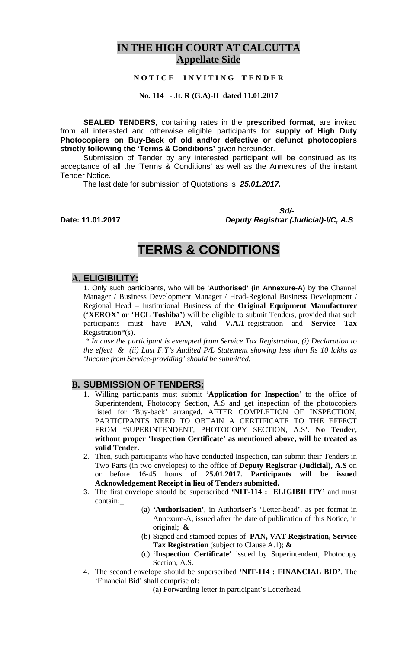# **IN THE HIGH COURT AT CALCUTTA Appellate Side**

### **N O T I C E I N V I T I N G T E N D E R**

**No. 114 - Jt. R (G.A)-II dated 11.01.2017**

**SEALED TENDERS**, containing rates in the **prescribed format**, are invited from all interested and otherwise eligible participants for **supply of High Duty Photocopiers on Buy-Back of old and/or defective or defunct photocopiers strictly following the 'Terms & Conditions'** given hereunder.

Submission of Tender by any interested participant will be construed as its acceptance of all the 'Terms & Conditions' as well as the Annexures of the instant Tender Notice.

The last date for submission of Quotations is *25.01.2017.* 

 *Sd/-*  **Date: 11.01.2017** *Deputy Registrar (Judicial)-I/C, A.S* 

# **TERMS & CONDITIONS**

### **A. ELIGIBILITY:**

1. Only such participants, who will be '**Authorised' (in Annexure-A)** by the Channel Manager / Business Development Manager / Head-Regional Business Development / Regional Head – Institutional Business of the **Original Equipment Manufacturer** (**'XEROX' or 'HCL Toshiba'**) will be eligible to submit Tenders, provided that such participants must have **PAN**, valid **V.A.T**-registration and **Service Tax** Registration\*(s).

 \* *In case the participant is exempted from Service Tax Registration, (i) Declaration to the effect & (ii) Last F.Y's Audited P/L Statement showing less than Rs 10 lakhs as 'Income from Service-providing' should be submitted.*

# **B. SUBMISSION OF TENDERS:**

- 1. Willing participants must submit '**Application for Inspection**' to the office of Superintendent, Photocopy Section, A.S and get inspection of the photocopiers listed for 'Buy-back' arranged. AFTER COMPLETION OF INSPECTION, PARTICIPANTS NEED TO OBTAIN A CERTIFICATE TO THE EFFECT FROM 'SUPERINTENDENT, PHOTOCOPY SECTION, A.S'. **No Tender, without proper 'Inspection Certificate' as mentioned above, will be treated as valid Tender.**
- 2. Then, such participants who have conducted Inspection, can submit their Tenders in Two Parts (in two envelopes) to the office of **Deputy Registrar (Judicial), A.S** on or before 16-45 hours of **25.01.2017. Participants will be issued Acknowledgement Receipt in lieu of Tenders submitted.**
- 3. The first envelope should be superscribed **'NIT-114 : ELIGIBILITY'** and must contain:\_
	- (a) **'Authorisation'**, in Authoriser's 'Letter-head', as per format in Annexure-A, issued after the date of publication of this Notice, in original; **&**
	- (b) Signed and stamped copies of **PAN, VAT Registration, Service Tax Registration** (subject to Clause A.1); **&**
	- (c) **'Inspection Certificate'** issued by Superintendent, Photocopy Section, A.S.
- 4. The second envelope should be superscribed **'NIT-114 : FINANCIAL BID'**. The 'Financial Bid' shall comprise of:

(a) Forwarding letter in participant's Letterhead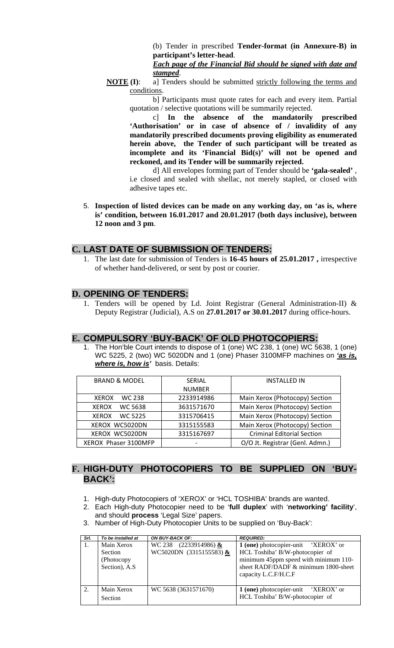(b) Tender in prescribed **Tender-format (in Annexure-B) in participant's letter-head**.

*Each page of the Financial Bid should be signed with date and stamped*.

**NOTE (I):** a] Tenders should be submitted strictly following the terms and conditions.

 b] Participants must quote rates for each and every item. Partial quotation / selective quotations will be summarily rejected.

c] **In the absence of the mandatorily prescribed 'Authorisation' or in case of absence of / invalidity of any mandatorily prescribed documents proving eligibility as enumerated herein above, the Tender of such participant will be treated as incomplete and its 'Financial Bid(s)' will not be opened and reckoned, and its Tender will be summarily rejected.**

d] All envelopes forming part of Tender should be **'gala-sealed'** , i.e closed and sealed with shellac, not merely stapled, or closed with adhesive tapes etc.

5. **Inspection of listed devices can be made on any working day, on 'as is, where is' condition, between 16.01.2017 and 20.01.2017 (both days inclusive), between 12 noon and 3 pm**.

### **C. LAST DATE OF SUBMISSION OF TENDERS:**

1. The last date for submission of Tenders is **16-45 hours of 25.01.2017 ,** irrespective of whether hand-delivered, or sent by post or courier.

### **D. OPENING OF TENDERS:**

1. Tenders will be opened by Ld. Joint Registrar (General Administration-II) & Deputy Registrar (Judicial), A.S on **27.01.2017 or 30.01.2017** during office-hours.

#### **E. COMPULSORY 'BUY-BACK' OF OLD PHOTOCOPIERS:**

1. The Hon'ble Court intends to dispose of 1 (one) WC 238, 1 (one) WC 5638, 1 (one) WC 5225, 2 (two) WC 5020DN and 1 (one) Phaser 3100MFP machines on *'as is, where is, how is'* basis. Details:

| <b>BRAND &amp; MODEL</b>       | <b>SERIAL</b> | <b>INSTALLED IN</b>               |
|--------------------------------|---------------|-----------------------------------|
|                                | <b>NUMBER</b> |                                   |
| WC 238<br><b>XEROX</b>         | 2233914986    | Main Xerox (Photocopy) Section    |
| WC 5638<br><b>XEROX</b>        | 3631571670    | Main Xerox (Photocopy) Section    |
| <b>WC 5225</b><br><b>XEROX</b> | 3315706415    | Main Xerox (Photocopy) Section    |
| XEROX WC5020DN                 | 3315155583    | Main Xerox (Photocopy) Section    |
| XEROX WC5020DN                 | 3315167697    | <b>Criminal Editorial Section</b> |
| XEROX Phaser 3100MFP           |               | O/O Jt. Registrar (Genl. Admn.)   |

# **F. HIGH-DUTY PHOTOCOPIERS TO BE SUPPLIED ON 'BUY-BACK':**

- 1. High-duty Photocopiers of 'XEROX' or 'HCL TOSHIBA' brands are wanted.
- 2. Each High-duty Photocopier need to be '**full duplex**' with '**networking' facility**', and should **process** 'Legal Size' papers.
- 3. Number of High-Duty Photocopier Units to be supplied on 'Buy-Back':

| Srl. | To be installed at | ON BUY-BACK OF:         | <b>REQUIRED:</b>                           |  |  |
|------|--------------------|-------------------------|--------------------------------------------|--|--|
| Ι.   | Main Xerox         | WC 238 $(2233914986)$ & | <b>1 (one)</b> photocopier-unit 'XEROX' or |  |  |
|      | <b>Section</b>     | WC5020DN (3315155583) & | HCL Toshiba' B/W-photocopier of            |  |  |
|      | (Photocopy)        |                         | minimum 45ppm speed with minimum 110-      |  |  |
|      | Section), A.S.     |                         | sheet RADF/DADF & minimum 1800-sheet       |  |  |
|      |                    |                         | capacity L.C.F/H.C.F                       |  |  |
|      |                    |                         |                                            |  |  |
| 2.   | Main Xerox         | WC 5638 (3631571670)    | <b>1 (one)</b> photocopier-unit 'XEROX' or |  |  |
|      | Section            |                         | HCL Toshiba' B/W-photocopier of            |  |  |
|      |                    |                         |                                            |  |  |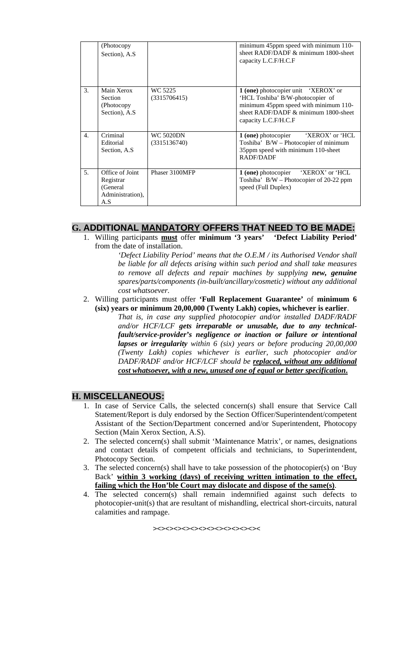|                             | (Photocopy<br>Section), A.S.                                        |                           | minimum 45ppm speed with minimum 110-<br>sheet RADF/DADF $\&$ minimum 1800-sheet<br>capacity L.C.F/H.C.F                                                                            |
|-----------------------------|---------------------------------------------------------------------|---------------------------|-------------------------------------------------------------------------------------------------------------------------------------------------------------------------------------|
| $\mathcal{F}_{\mathcal{L}}$ | Main Xerox<br>Section<br>(Photocopy)<br>Section), A.S.              | WC 5225<br>(3315706415)   | 1 (one) photocopier unit 'XEROX' or<br>'HCL Toshiba' B/W-photocopier of<br>minimum 45ppm speed with minimum 110-<br>sheet RADF/DADF $\&$ minimum 1800-sheet<br>capacity L.C.F/H.C.F |
| 4.                          | Criminal<br>Editorial<br>Section, A.S.                              | WC 5020DN<br>(3315136740) | 'XEROX' or 'HCL<br>1 (one) photocopier<br>Toshiba' B/W – Photocopier of minimum<br>35ppm speed with minimum 110-sheet<br>RADF/DADF                                                  |
| 5.                          | Office of Joint<br>Registrar<br>(General<br>Administration),<br>A.S | Phaser 3100MFP            | 1 (one) photocopier 'XEROX' or 'HCL<br>Toshiba' $B/W - Photocopier of 20-22 ppm$<br>speed (Full Duplex)                                                                             |

# **G. ADDITIONAL MANDATORY OFFERS THAT NEED TO BE MADE:**

1. Willing participants **must** offer **minimum '3 years' 'Defect Liability Period'**  from the date of installation.

*'Defect Liability Period' means that the O.E.M / its Authorised Vendor shall be liable for all defects arising within such period and shall take measures to remove all defects and repair machines by supplying new, genuine spares/parts/components (in-built/ancillary/cosmetic) without any additional cost whatsoever.* 

- 2. Willing participants must offer **'Full Replacement Guarantee'** of **minimum 6 (six) years or minimum 20,00,000 (Twenty Lakh) copies, whichever is earlier**.
	- *That is, in case any supplied photocopier and/or installed DADF/RADF and/or HCF/LCF gets irreparable or unusable, due to any technicalfault/service-provider's negligence or inaction or failure or intentional lapses or irregularity within 6 (six) years or before producing 20,00,000 (Twenty Lakh) copies whichever is earlier, such photocopier and/or DADF/RADF and/or HCF/LCF should be replaced, without any additional cost whatsoever, with a new, unused one of equal or better specification***.**

### **H. MISCELLANEOUS:**

- 1. In case of Service Calls, the selected concern(s) shall ensure that Service Call Statement/Report is duly endorsed by the Section Officer/Superintendent/competent Assistant of the Section/Department concerned and/or Superintendent, Photocopy Section (Main Xerox Section, A.S).
- 2. The selected concern(s) shall submit 'Maintenance Matrix', or names, designations and contact details of competent officials and technicians, to Superintendent, Photocopy Section.
- 3. The selected concern(s) shall have to take possession of the photocopier(s) on 'Buy Back' **within 3 working (days) of receiving written intimation to the effect, failing which the Hon'ble Court may dislocate and dispose of the same(s)**.
- 4. The selected concern(s) shall remain indemnified against such defects to photocopier-unit(s) that are resultant of mishandling, electrical short-circuits, natural calamities and rampage.

><><><><><><><><><><><><><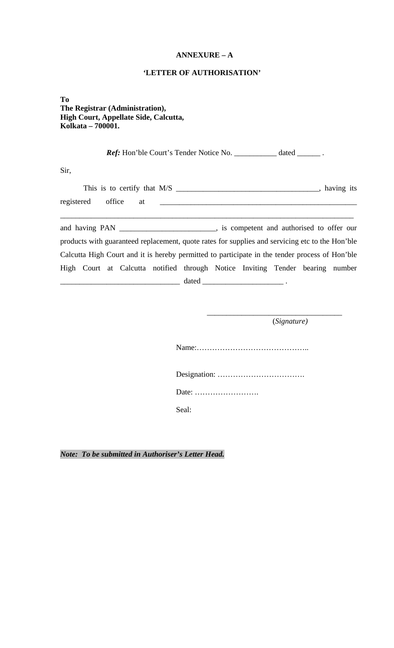### **ANNEXURE – A**

### **'LETTER OF AUTHORISATION'**

**To The Registrar (Administration), High Court, Appellate Side, Calcutta, Kolkata – 700001.** 

Ref: Hon'ble Court's Tender Notice No. \_\_\_\_\_\_\_\_\_\_\_ dated \_\_\_\_\_\_\_.

Sir,

| registered office at <u>the contract of the contract of the contract of the contract of the contract of the contract of the contract of the contract of the contract of the contract of the contract of the contract of the cont</u> |
|--------------------------------------------------------------------------------------------------------------------------------------------------------------------------------------------------------------------------------------|
|                                                                                                                                                                                                                                      |
| products with guaranteed replacement, quote rates for supplies and servicing etc to the Hon'ble                                                                                                                                      |
| Calcutta High Court and it is hereby permitted to participate in the tender process of Hon'ble                                                                                                                                       |
| High Court at Calcutta notified through Notice Inviting Tender bearing number                                                                                                                                                        |
|                                                                                                                                                                                                                                      |
|                                                                                                                                                                                                                                      |

 $\overline{\phantom{a}}$  , and the contract of the contract of the contract of the contract of the contract of the contract of the contract of the contract of the contract of the contract of the contract of the contract of the contrac

(*Signature)* 

Name:……………………………………..

Designation: …………………………….

Date: …………………….

Seal:

*Note: To be submitted in Authoriser's Letter Head.*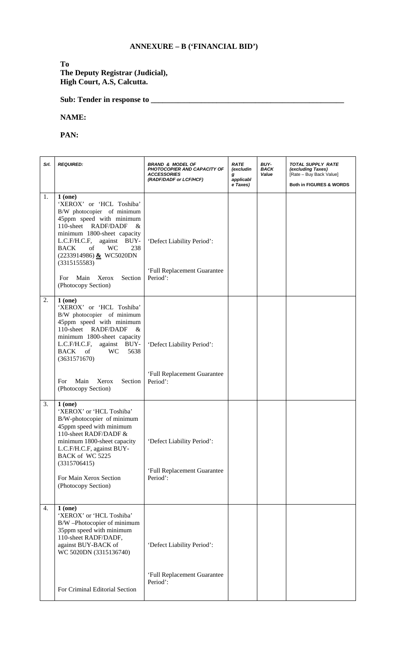# **ANNEXURE – B ('FINANCIAL BID')**

### **To The Deputy Registrar (Judicial), High Court, A.S, Calcutta.**

**Sub: Tender in response to \_\_\_\_\_\_\_\_\_\_\_\_\_\_\_\_\_\_\_\_\_\_\_\_\_\_\_\_\_\_\_\_\_\_\_\_\_\_\_\_\_\_\_\_\_\_\_\_\_\_** 

#### **NAME:**

# **PAN:**

| Srl.             | <b>REQUIRED:</b>                                                                                                                                                                                                                                                                                                                      | <b>BRAND &amp; MODEL OF</b><br><b>PHOTOCOPIER AND CAPACITY OF</b><br><b>ACCESSORIES</b><br>(RADF/DADF or LCF/HCF) | <b>RATE</b><br>(excludin<br>g<br>applicabl<br>e Taxes) | BUY-<br><b>BACK</b><br>Value | TOTAL SUPPLY RATE<br>(excluding Taxes)<br>[Rate - Buy Back Value]<br>Both in FIGURES & WORDS |
|------------------|---------------------------------------------------------------------------------------------------------------------------------------------------------------------------------------------------------------------------------------------------------------------------------------------------------------------------------------|-------------------------------------------------------------------------------------------------------------------|--------------------------------------------------------|------------------------------|----------------------------------------------------------------------------------------------|
| 1.               | 1(one)<br>'XEROX' or 'HCL Toshiba'<br>B/W photocopier of minimum<br>45ppm speed with minimum<br>110-sheet RADF/DADF<br>&<br>minimum 1800-sheet capacity<br>L.C.F/H.C.F,<br>against BUY-<br><b>BACK</b><br>of<br><b>WC</b><br>238<br>(2233914986) & WC5020DN<br>(3315155583)<br>Main<br>Section<br>For<br>Xerox<br>(Photocopy Section) | 'Defect Liability Period':<br>'Full Replacement Guarantee<br>Period':                                             |                                                        |                              |                                                                                              |
| 2.               | 1(one)<br>'XEROX' or 'HCL Toshiba'<br>B/W photocopier of minimum<br>45ppm speed with minimum<br>110-sheet RADF/DADF<br>&<br>minimum 1800-sheet capacity<br>L.C.F/H.C.F,<br>against<br>BUY-<br><b>BACK</b><br>5638<br>- of<br><b>WC</b><br>(3631571670)<br>Main<br>For<br>Xerox<br>Section<br>(Photocopy Section)                      | 'Defect Liability Period':<br>'Full Replacement Guarantee<br>Period':                                             |                                                        |                              |                                                                                              |
| 3.               | 1(one)<br>'XEROX' or 'HCL Toshiba'<br>B/W-photocopier of minimum<br>45ppm speed with minimum<br>110-sheet RADF/DADF &<br>minimum 1800-sheet capacity<br>L.C.F/H.C.F, against BUY-<br>BACK of WC 5225<br>(3315706415)<br>For Main Xerox Section<br>(Photocopy Section)                                                                 | 'Defect Liability Period':<br>'Full Replacement Guarantee<br>Period':                                             |                                                        |                              |                                                                                              |
| $\overline{4}$ . | 1(one)<br>'XEROX' or 'HCL Toshiba'<br>B/W -Photocopier of minimum<br>35ppm speed with minimum<br>110-sheet RADF/DADF,<br>against BUY-BACK of<br>WC 5020DN (3315136740)<br>For Criminal Editorial Section                                                                                                                              | 'Defect Liability Period':<br>'Full Replacement Guarantee<br>Period':                                             |                                                        |                              |                                                                                              |